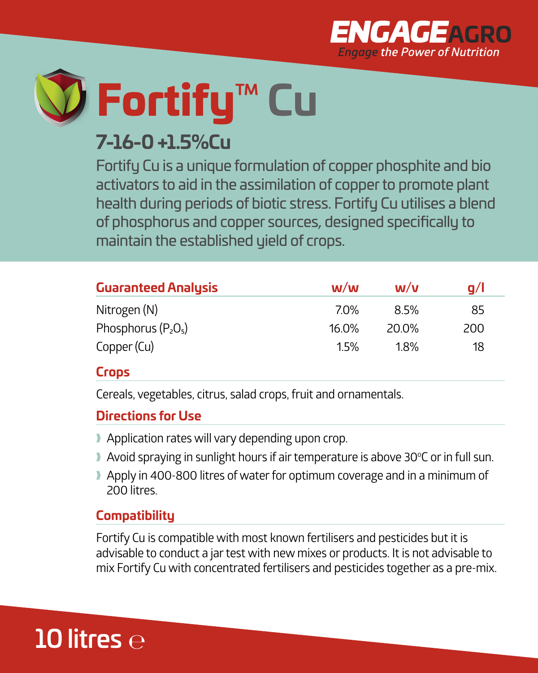



# **7-16-0 +1.5%Cu**

Fortify Cu is a unique formulation of copper phosphite and bio activators to aid in the assimilation of copper to promote plant health during periods of biotic stress. Fortify Cu utilises a blend of phosphorus and copper sources, designed specifically to maintain the established yield of crops.

| <b>Guaranteed Analysis</b> | W/W        | W/v   | a/l |
|----------------------------|------------|-------|-----|
| Nitrogen (N)               | <b>70%</b> | 8.5%  | 85  |
| Phosphorus $(P_2O_5)$      | $16.0\%$   | 20.0% | 200 |
| Copper (Cu)                | 1.5%       | 1.8%  | 18  |

#### **Crops**

Cereals, vegetables, citrus, salad crops, fruit and ornamentals.

#### **Directions for Use**

- **Application rates will vary depending upon crop.**
- 1 Avoid spraying in sunlight hours if air temperature is above 30°C or in full sun.
- Apply in 400-800 litres of water for optimum coverage and in a minimum of 200 litres.

### **Compatibility**

Fortify Cu is compatible with most known fertilisers and pesticides but it is advisable to conduct a jar test with new mixes or products. It is not advisable to mix Fortify Cu with concentrated fertilisers and pesticides together as a pre-mix.